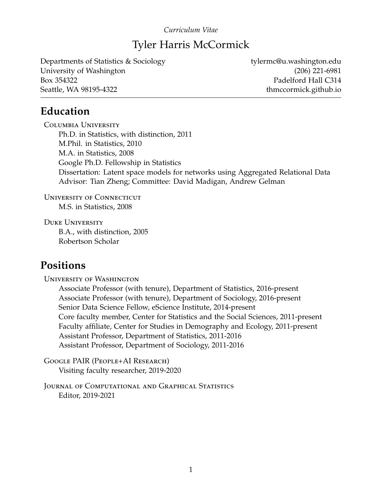#### *Curriculum Vitae*

## Tyler Harris McCormick

Departments of Statistics & Sociology tylermc@u.washington.edu University of Washington (206) 221-6981 Box 354322 Padelford Hall C314 Seattle, WA 98195-4322 thmccormick.github.io

## **Education**

Columbia University Ph.D. in Statistics, with distinction, 2011 M.Phil. in Statistics, 2010 M.A. in Statistics, 2008 Google Ph.D. Fellowship in Statistics Dissertation: Latent space models for networks using Aggregated Relational Data Advisor: Tian Zheng; Committee: David Madigan, Andrew Gelman

UNIVERSITY OF CONNECTICUT M.S. in Statistics, 2008

Duke University B.A., with distinction, 2005 Robertson Scholar

## **Positions**

University of Washington

Associate Professor (with tenure), Department of Statistics, 2016-present Associate Professor (with tenure), Department of Sociology, 2016-present Senior Data Science Fellow, eScience Institute, 2014-present Core faculty member, Center for Statistics and the Social Sciences, 2011-present Faculty affiliate, Center for Studies in Demography and Ecology, 2011-present Assistant Professor, Department of Statistics, 2011-2016 Assistant Professor, Department of Sociology, 2011-2016

Google PAIR (People+AI Research) Visiting faculty researcher, 2019-2020

Journal of Computational and Graphical Statistics Editor, 2019-2021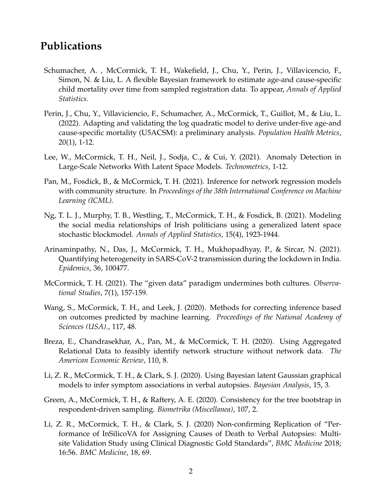#### **Publications**

- Schumacher, A. , McCormick, T. H., Wakefield, J., Chu, Y., Perin, J., Villavicencio, F., Simon, N. & Liu, L. A flexible Bayesian framework to estimate age-and cause-specific child mortality over time from sampled registration data. To appear, *Annals of Applied Statistics.*
- Perin, J., Chu, Y., Villaviciencio, F., Schumacher, A., McCormick, T., Guillot, M., & Liu, L. (2022). Adapting and validating the log quadratic model to derive under-five age-and cause-specific mortality (U5ACSM): a preliminary analysis. *Population Health Metrics*, 20(1), 1-12.
- Lee, W., McCormick, T. H., Neil, J., Sodja, C., & Cui, Y. (2021). Anomaly Detection in Large-Scale Networks With Latent Space Models. *Technometrics*, 1-12.
- Pan, M., Fosdick, B., & McCormick, T. H. (2021). Inference for network regression models with community structure. In *Proceedings of the 38th International Conference on Machine Learning (ICML)*.
- Ng, T. L. J., Murphy, T. B., Westling, T., McCormick, T. H., & Fosdick, B. (2021). Modeling the social media relationships of Irish politicians using a generalized latent space stochastic blockmodel. *Annals of Applied Statistics*, 15(4), 1923-1944.
- Arinaminpathy, N., Das, J., McCormick, T. H., Mukhopadhyay, P., & Sircar, N. (2021). Quantifying heterogeneity in SARS-CoV-2 transmission during the lockdown in India. *Epidemics*, 36, 100477.
- McCormick, T. H. (2021). The "given data" paradigm undermines both cultures. *Observational Studies*, 7(1), 157-159.
- Wang, S., McCormick, T. H., and Leek, J. (2020). Methods for correcting inference based on outcomes predicted by machine learning. *Proceedings of the National Academy of Sciences (USA).*, 117, 48.
- Breza, E., Chandrasekhar, A., Pan, M., & McCormick, T. H. (2020). Using Aggregated Relational Data to feasibly identify network structure without network data. *The American Economic Review*, 110, 8.
- Li, Z. R., McCormick, T. H., & Clark, S. J. (2020). Using Bayesian latent Gaussian graphical models to infer symptom associations in verbal autopsies. *Bayesian Analysis*, 15, 3.
- Green, A., McCormick, T. H., & Raftery, A. E. (2020). Consistency for the tree bootstrap in respondent-driven sampling. *Biometrika (Miscellanea)*, 107, 2.
- Li, Z. R., McCormick, T. H., & Clark, S. J. (2020) Non-confirming Replication of "Performance of InSilicoVA for Assigning Causes of Death to Verbal Autopsies: Multisite Validation Study using Clinical Diagnostic Gold Standards", *BMC Medicine* 2018; 16:56. *BMC Medicine*, 18, 69.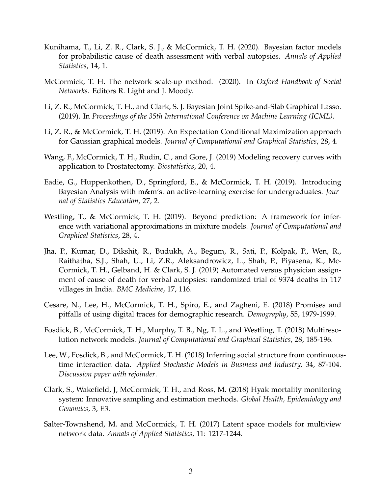- Kunihama, T., Li, Z. R., Clark, S. J., & McCormick, T. H. (2020). Bayesian factor models for probabilistic cause of death assessment with verbal autopsies. *Annals of Applied Statistics*, 14, 1.
- McCormick, T. H. The network scale-up method. (2020). In *Oxford Handbook of Social Networks*. Editors R. Light and J. Moody.
- Li, Z. R., McCormick, T. H., and Clark, S. J. Bayesian Joint Spike-and-Slab Graphical Lasso. (2019). In *Proceedings of the 35th International Conference on Machine Learning (ICML)*.
- Li, Z. R., & McCormick, T. H. (2019). An Expectation Conditional Maximization approach for Gaussian graphical models. *Journal of Computational and Graphical Statistics*, 28, 4.
- Wang, F., McCormick, T. H., Rudin, C., and Gore, J. (2019) Modeling recovery curves with application to Prostatectomy. *Biostatistics*, 20, 4.
- Eadie, G., Huppenkothen, D., Springford, E., & McCormick, T. H. (2019). Introducing Bayesian Analysis with m&m's: an active-learning exercise for undergraduates. *Journal of Statistics Education*, 27, 2.
- Westling, T., & McCormick, T. H. (2019). Beyond prediction: A framework for inference with variational approximations in mixture models. *Journal of Computational and Graphical Statistics*, 28, 4.
- Jha, P., Kumar, D., Dikshit, R., Budukh, A., Begum, R., Sati, P., Kolpak, P., Wen, R., Raithatha, S.J., Shah, U., Li, Z.R., Aleksandrowicz, L., Shah, P., Piyasena, K., Mc-Cormick, T. H., Gelband, H. & Clark, S. J. (2019) Automated versus physician assignment of cause of death for verbal autopsies: randomized trial of 9374 deaths in 117 villages in India. *BMC Medicine*, 17, 116.
- Cesare, N., Lee, H., McCormick, T. H., Spiro, E., and Zagheni, E. (2018) Promises and pitfalls of using digital traces for demographic research. *Demography*, 55, 1979-1999.
- Fosdick, B., McCormick, T. H., Murphy, T. B., Ng, T. L., and Westling, T. (2018) Multiresolution network models. *Journal of Computational and Graphical Statistics*, 28, 185-196.
- Lee, W., Fosdick, B., and McCormick, T. H. (2018) Inferring social structure from continuoustime interaction data. *Applied Stochastic Models in Business and Industry,* 34, 87-104. *Discussion paper with rejoinder*.
- Clark, S., Wakefield, J, McCormick, T. H., and Ross, M. (2018) Hyak mortality monitoring system: Innovative sampling and estimation methods. *Global Health, Epidemiology and Genomics*, 3, E3.
- Salter-Townshend, M. and McCormick, T. H. (2017) Latent space models for multiview network data. *Annals of Applied Statistics*, 11: 1217-1244.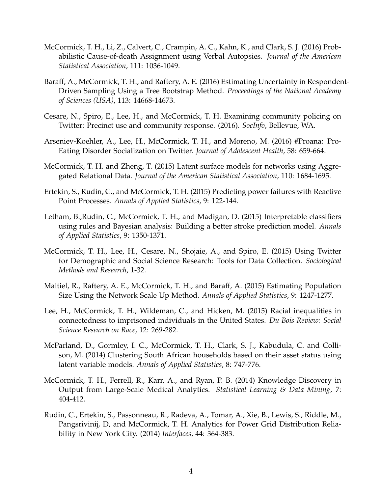- McCormick, T. H., Li, Z., Calvert, C., Crampin, A. C., Kahn, K., and Clark, S. J. (2016) Probabilistic Cause-of-death Assignment using Verbal Autopsies. *Journal of the American Statistical Association*, 111: 1036-1049.
- Baraff, A., McCormick, T. H., and Raftery, A. E. (2016) Estimating Uncertainty in Respondent-Driven Sampling Using a Tree Bootstrap Method. *Proceedings of the National Academy of Sciences (USA)*, 113: 14668-14673.
- Cesare, N., Spiro, E., Lee, H., and McCormick, T. H. Examining community policing on Twitter: Precinct use and community response. (2016). *SocInfo*, Bellevue, WA.
- Arseniev-Koehler, A., Lee, H., McCormick, T. H., and Moreno, M. (2016) #Proana: Pro-Eating Disorder Socialization on Twitter. *Journal of Adolescent Health*, 58: 659-664.
- McCormick, T. H. and Zheng, T. (2015) Latent surface models for networks using Aggregated Relational Data. *Journal of the American Statistical Association*, 110: 1684-1695.
- Ertekin, S., Rudin, C., and McCormick, T. H. (2015) Predicting power failures with Reactive Point Processes. *Annals of Applied Statistics*, 9: 122-144.
- Letham, B.,Rudin, C., McCormick, T. H., and Madigan, D. (2015) Interpretable classifiers using rules and Bayesian analysis: Building a better stroke prediction model. *Annals of Applied Statistics*, 9: 1350-1371.
- McCormick, T. H., Lee, H., Cesare, N., Shojaie, A., and Spiro, E. (2015) Using Twitter for Demographic and Social Science Research: Tools for Data Collection. *Sociological Methods and Research*, 1-32.
- Maltiel, R., Raftery, A. E., McCormick, T. H., and Baraff, A. (2015) Estimating Population Size Using the Network Scale Up Method. *Annals of Applied Statistics*, 9: 1247-1277.
- Lee, H., McCormick, T. H., Wildeman, C., and Hicken, M. (2015) Racial inequalities in connectedness to imprisoned individuals in the United States. *Du Bois Review: Social Science Research on Race*, 12: 269-282.
- McParland, D., Gormley, I. C., McCormick, T. H., Clark, S. J., Kabudula, C. and Collison, M. (2014) Clustering South African households based on their asset status using latent variable models. *Annals of Applied Statistics*, 8: 747-776.
- McCormick, T. H., Ferrell, R., Karr, A., and Ryan, P. B. (2014) Knowledge Discovery in Output from Large-Scale Medical Analytics. *Statistical Learning & Data Mining*, 7: 404-412.
- Rudin, C., Ertekin, S., Passonneau, R., Radeva, A., Tomar, A., Xie, B., Lewis, S., Riddle, M., Pangsrivinij, D, and McCormick, T. H. Analytics for Power Grid Distribution Reliability in New York City. (2014) *Interfaces*, 44: 364-383.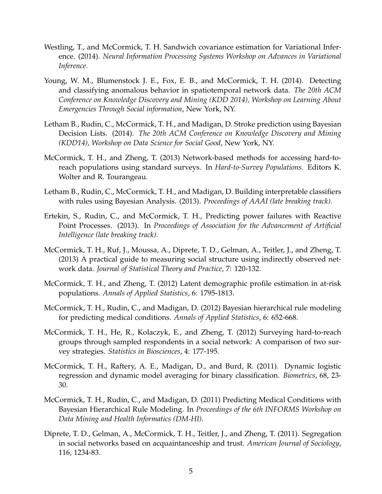- Westling, T., and McCormick, T. H. Sandwich covariance estimation for Variational Inference. (2014). *Neural Information Processing Systems Workshop on Advances in Variational Inference*.
- Young, W. M., Blumenstock J. E., Fox, E. B., and McCormick, T. H. (2014). Detecting and classifying anomalous behavior in spatiotemporal network data. *The 20th ACM Conference on Knowledge Discovery and Mining (KDD 2014), Workshop on Learning About Emergencies Through Social information*, New York, NY.
- Letham B., Rudin, C., McCormick, T. H., and Madigan, D. Stroke prediction using Bayesian Decision Lists. (2014). *The 20th ACM Conference on Knowledge Discovery and Mining (KDD14), Workshop on Data Science for Social Good*, New York, NY.
- McCormick, T. H., and Zheng, T. (2013) Network-based methods for accessing hard-toreach populations using standard surveys. In *Hard-to-Survey Populations*. Editors K. Wolter and R. Tourangeau.
- Letham B., Rudin, C., McCormick, T. H., and Madigan, D. Building interpretable classifiers with rules using Bayesian Analysis. (2013). *Proceedings of AAAI (late breaking track)*.
- Ertekin, S., Rudin, C., and McCormick, T. H., Predicting power failures with Reactive Point Processes. (2013). In *Proceedings of Association for the Advancement of Artificial Intelligence (late breaking track)*.
- McCormick, T. H., Ruf, J., Moussa, A., Diprete, T. D., Gelman, A., Teitler, J., and Zheng, T. (2013) A practical guide to measuring social structure using indirectly observed network data. *Journal of Statistical Theory and Practice*, 7: 120-132.
- McCormick, T. H., and Zheng, T. (2012) Latent demographic profile estimation in at-risk populations. *Annals of Applied Statistics*, 6: 1795-1813.
- McCormick, T. H., Rudin, C., and Madigan, D. (2012) Bayesian hierarchical rule modeling for predicting medical conditions. *Annals of Applied Statistics*, 6: 652-668.
- McCormick, T. H., He, R., Kolaczyk, E., and Zheng, T. (2012) Surveying hard-to-reach groups through sampled respondents in a social network: A comparison of two survey strategies. *Statistics in Biosciences*, 4: 177-195.
- McCormick, T. H., Raftery, A. E., Madigan, D., and Burd, R. (2011). Dynamic logistic regression and dynamic model averaging for binary classification. *Biometrics*, 68, 23- 30.
- McCormick, T. H., Rudin, C., and Madigan, D. (2011) Predicting Medical Conditions with Bayesian Hierarchical Rule Modeling. In *Proceedings of the 6th INFORMS Workshop on Data Mining and Health Informatics (DM-HI).*
- Diprete, T. D., Gelman, A., McCormick, T. H., Teitler, J., and Zheng, T. (2011). Segregation in social networks based on acquaintanceship and trust. *American Journal of Sociology*, 116, 1234-83.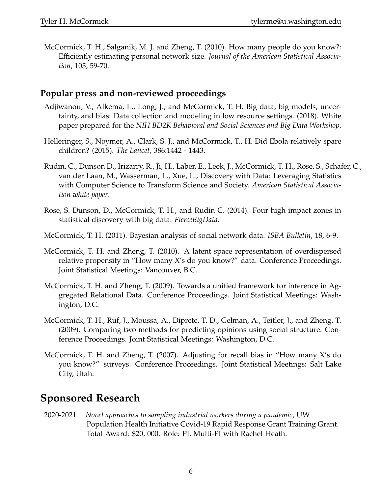McCormick, T. H., Salganik, M. J. and Zheng, T. (2010). How many people do you know?: Efficiently estimating personal network size. *Journal of the American Statistical Association*, 105, 59-70.

#### **Popular press and non-reviewed proceedings**

- Adjiwanou, V., Alkema, L., Long, J., and McCormick, T. H. Big data, big models, uncertainty, and bias: Data collection and modeling in low resource settings. (2018). White paper prepared for the *NIH BD2K Behavioral and Social Sciences and Big Data Workshop*.
- Helleringer, S., Noymer, A., Clark, S. J., and McCormick, T., H. Did Ebola relatively spare children? (2015). *The Lancet*, 386:1442 - 1443.
- Rudin, C., Dunson D., Irizarry, R., Ji, H., Laber, E., Leek, J., McCormick, T. H., Rose, S., Schafer, C., van der Laan, M., Wasserman, L., Xue, L., Discovery with Data: Leveraging Statistics with Computer Science to Transform Science and Society. *American Statistical Association white paper*.
- Rose, S. Dunson, D., McCormick, T. H., and Rudin C. (2014). Four high impact zones in statistical discovery with big data. *FierceBigData*.
- McCormick, T. H. (2011). Bayesian analysis of social network data. *ISBA Bulletin*, 18, 6-9.
- McCormick, T. H. and Zheng, T. (2010). A latent space representation of overdispersed relative propensity in "How many X's do you know?" data. Conference Proceedings. Joint Statistical Meetings: Vancouver, B.C.
- McCormick, T. H. and Zheng, T. (2009). Towards a unified framework for inference in Aggregated Relational Data. Conference Proceedings. Joint Statistical Meetings: Washington, D.C.
- McCormick, T. H., Ruf, J., Moussa, A., Diprete, T. D., Gelman, A., Teitler, J., and Zheng, T. (2009). Comparing two methods for predicting opinions using social structure. Conference Proceedings. Joint Statistical Meetings: Washington, D.C.
- McCormick, T. H. and Zheng, T. (2007). Adjusting for recall bias in "How many X's do you know?" surveys. Conference Proceedings. Joint Statistical Meetings: Salt Lake City, Utah.

# **Sponsored Research**

2020-2021 *Novel approaches to sampling industrial workers during a pandemic*, UW Population Health Initiative Covid-19 Rapid Response Grant Training Grant. Total Award: \$20, 000. Role: PI, Multi-PI with Rachel Heath.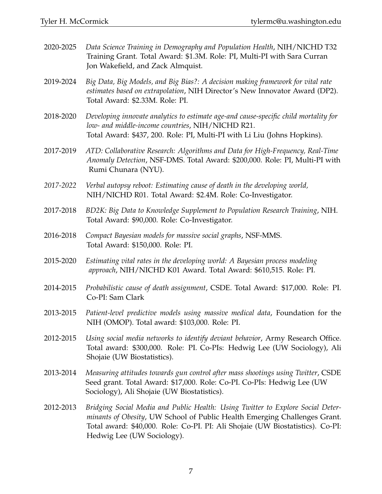| 2020-2025 | Data Science Training in Demography and Population Health, NIH/NICHD T32<br>Training Grant. Total Award: \$1.3M. Role: PI, Multi-PI with Sara Curran<br>Jon Wakefield, and Zack Almquist.                                                                                    |
|-----------|------------------------------------------------------------------------------------------------------------------------------------------------------------------------------------------------------------------------------------------------------------------------------|
| 2019-2024 | Big Data, Big Models, and Big Bias?: A decision making framework for vital rate<br>estimates based on extrapolation, NIH Director's New Innovator Award (DP2).<br>Total Award: \$2.33M. Role: PI.                                                                            |
| 2018-2020 | Developing innovate analytics to estimate age-and cause-specific child mortality for<br>low- and middle-income countries, NIH/NICHD R21.<br>Total Award: \$437, 200. Role: PI, Multi-PI with Li Liu (Johns Hopkins).                                                         |
| 2017-2019 | ATD: Collaborative Research: Algorithms and Data for High-Frequency, Real-Time<br>Anomaly Detection, NSF-DMS. Total Award: \$200,000. Role: PI, Multi-PI with<br>Rumi Chunara (NYU).                                                                                         |
| 2017-2022 | Verbal autopsy reboot: Estimating cause of death in the developing world,<br>NIH/NICHD R01. Total Award: \$2.4M. Role: Co-Investigator.                                                                                                                                      |
| 2017-2018 | BD2K: Big Data to Knowledge Supplement to Population Research Training, NIH.<br>Total Award: \$90,000. Role: Co-Investigator.                                                                                                                                                |
| 2016-2018 | Compact Bayesian models for massive social graphs, NSF-MMS.<br>Total Award: \$150,000. Role: PI.                                                                                                                                                                             |
| 2015-2020 | Estimating vital rates in the developing world: A Bayesian process modeling<br>approach, NIH/NICHD K01 Award. Total Award: \$610,515. Role: PI.                                                                                                                              |
| 2014-2015 | Probabilistic cause of death assignment, CSDE. Total Award: \$17,000. Role: PI.<br>Co-PI: Sam Clark                                                                                                                                                                          |
| 2013-2015 | Patient-level predictive models using massive medical data, Foundation for the<br>NIH (OMOP). Total award: \$103,000. Role: PI.                                                                                                                                              |
| 2012-2015 | Using social media networks to identify deviant behavior, Army Research Office.<br>Total award: \$300,000. Role: PI. Co-PIs: Hedwig Lee (UW Sociology), Ali<br>Shojaie (UW Biostatistics).                                                                                   |
| 2013-2014 | Measuring attitudes towards gun control after mass shootings using Twitter, CSDE<br>Seed grant. Total Award: \$17,000. Role: Co-PI. Co-PIs: Hedwig Lee (UW<br>Sociology), Ali Shojaie (UW Biostatistics).                                                                    |
| 2012-2013 | Bridging Social Media and Public Health: Using Twitter to Explore Social Deter-<br>minants of Obesity, UW School of Public Health Emerging Challenges Grant.<br>Total award: \$40,000. Role: Co-PI. PI: Ali Shojaie (UW Biostatistics). Co-PI:<br>Hedwig Lee (UW Sociology). |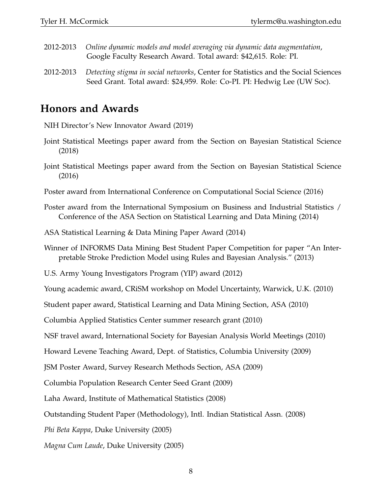- 2012-2013 *Online dynamic models and model averaging via dynamic data augmentation*, Google Faculty Research Award. Total award: \$42,615. Role: PI.
- 2012-2013 *Detecting stigma in social networks*, Center for Statistics and the Social Sciences Seed Grant. Total award: \$24,959. Role: Co-PI. PI: Hedwig Lee (UW Soc).

#### **Honors and Awards**

NIH Director's New Innovator Award (2019)

- Joint Statistical Meetings paper award from the Section on Bayesian Statistical Science (2018)
- Joint Statistical Meetings paper award from the Section on Bayesian Statistical Science (2016)
- Poster award from International Conference on Computational Social Science (2016)
- Poster award from the International Symposium on Business and Industrial Statistics / Conference of the ASA Section on Statistical Learning and Data Mining (2014)
- ASA Statistical Learning & Data Mining Paper Award (2014)
- Winner of INFORMS Data Mining Best Student Paper Competition for paper "An Interpretable Stroke Prediction Model using Rules and Bayesian Analysis." (2013)
- U.S. Army Young Investigators Program (YIP) award (2012)

Young academic award, CRiSM workshop on Model Uncertainty, Warwick, U.K. (2010)

Student paper award, Statistical Learning and Data Mining Section, ASA (2010)

Columbia Applied Statistics Center summer research grant (2010)

NSF travel award, International Society for Bayesian Analysis World Meetings (2010)

Howard Levene Teaching Award, Dept. of Statistics, Columbia University (2009)

JSM Poster Award, Survey Research Methods Section, ASA (2009)

Columbia Population Research Center Seed Grant (2009)

Laha Award, Institute of Mathematical Statistics (2008)

Outstanding Student Paper (Methodology), Intl. Indian Statistical Assn. (2008)

*Phi Beta Kappa*, Duke University (2005)

*Magna Cum Laude*, Duke University (2005)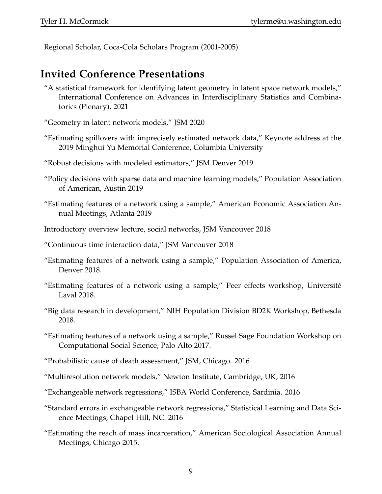Regional Scholar, Coca-Cola Scholars Program (2001-2005)

## **Invited Conference Presentations**

- "A statistical framework for identifying latent geometry in latent space network models," International Conference on Advances in Interdisciplinary Statistics and Combinatorics (Plenary), 2021
- "Geometry in latent network models," JSM 2020
- "Estimating spillovers with imprecisely estimated network data," Keynote address at the 2019 Minghui Yu Memorial Conference, Columbia University
- "Robust decisions with modeled estimators," JSM Denver 2019
- "Policy decisions with sparse data and machine learning models," Population Association of American, Austin 2019
- "Estimating features of a network using a sample," American Economic Association Annual Meetings, Atlanta 2019
- Introductory overview lecture, social networks, JSM Vancouver 2018
- "Continuous time interaction data," JSM Vancouver 2018
- "Estimating features of a network using a sample," Population Association of America, Denver 2018.
- "Estimating features of a network using a sample," Peer effects workshop, Universite´ Laval 2018.
- "Big data research in development," NIH Population Division BD2K Workshop, Bethesda 2018.
- "Estimating features of a network using a sample," Russel Sage Foundation Workshop on Computational Social Science, Palo Alto 2017.
- "Probabilistic cause of death assessment," JSM, Chicago. 2016
- "Multiresolution network models," Newton Institute, Cambridge, UK, 2016
- "Exchangeable network regressions," ISBA World Conference, Sardinia. 2016
- "Standard errors in exchangeable network regressions," Statistical Learning and Data Science Meetings, Chapel Hill, NC. 2016
- "Estimating the reach of mass incarceration," American Sociological Association Annual Meetings, Chicago 2015.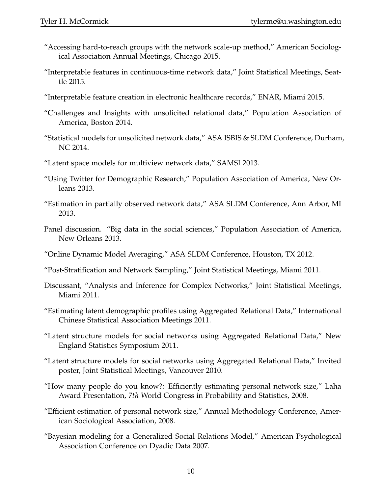- "Accessing hard-to-reach groups with the network scale-up method," American Sociological Association Annual Meetings, Chicago 2015.
- "Interpretable features in continuous-time network data," Joint Statistical Meetings, Seattle 2015.
- "Interpretable feature creation in electronic healthcare records," ENAR, Miami 2015.
- "Challenges and Insights with unsolicited relational data," Population Association of America, Boston 2014.
- "Statistical models for unsolicited network data," ASA ISBIS & SLDM Conference, Durham, NC 2014.
- "Latent space models for multiview network data," SAMSI 2013.
- "Using Twitter for Demographic Research," Population Association of America, New Orleans 2013.
- "Estimation in partially observed network data," ASA SLDM Conference, Ann Arbor, MI 2013.
- Panel discussion. "Big data in the social sciences," Population Association of America, New Orleans 2013.
- "Online Dynamic Model Averaging," ASA SLDM Conference, Houston, TX 2012.
- "Post-Stratification and Network Sampling," Joint Statistical Meetings, Miami 2011.
- Discussant, "Analysis and Inference for Complex Networks," Joint Statistical Meetings, Miami 2011.
- "Estimating latent demographic profiles using Aggregated Relational Data," International Chinese Statistical Association Meetings 2011.
- "Latent structure models for social networks using Aggregated Relational Data," New England Statistics Symposium 2011.
- "Latent structure models for social networks using Aggregated Relational Data," Invited poster, Joint Statistical Meetings, Vancouver 2010.
- "How many people do you know?: Efficiently estimating personal network size," Laha Award Presentation, 7*th* World Congress in Probability and Statistics, 2008.
- "Efficient estimation of personal network size," Annual Methodology Conference, American Sociological Association, 2008.
- "Bayesian modeling for a Generalized Social Relations Model," American Psychological Association Conference on Dyadic Data 2007.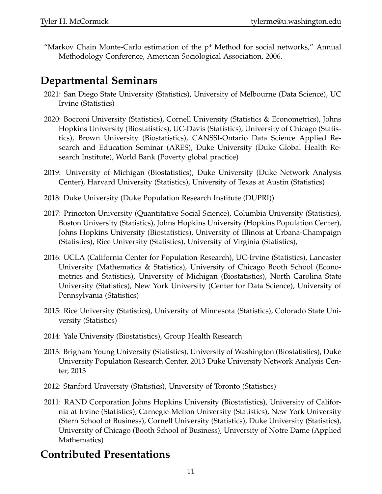"Markov Chain Monte-Carlo estimation of the p\* Method for social networks," Annual Methodology Conference, American Sociological Association, 2006.

## **Departmental Seminars**

- 2021: San Diego State University (Statistics), University of Melbourne (Data Science), UC Irvine (Statistics)
- 2020: Bocconi University (Statistics), Cornell University (Statistics & Econometrics), Johns Hopkins University (Biostatistics), UC-Davis (Statistics), University of Chicago (Statistics), Brown University (Biostatistics), CANSSI-Ontario Data Science Applied Research and Education Seminar (ARES), Duke University (Duke Global Health Research Institute), World Bank (Poverty global practice)
- 2019: University of Michigan (Biostatistics), Duke University (Duke Network Analysis Center), Harvard University (Statistics), University of Texas at Austin (Statistics)
- 2018: Duke University (Duke Population Research Institute (DUPRI))
- 2017: Princeton University (Quantitative Social Science), Columbia University (Statistics), Boston University (Statistics), Johns Hopkins University (Hopkins Population Center), Johns Hopkins University (Biostatistics), University of Illinois at Urbana-Champaign (Statistics), Rice University (Statistics), University of Virginia (Statistics),
- 2016: UCLA (California Center for Population Research), UC-Irvine (Statistics), Lancaster University (Mathematics & Statistics), University of Chicago Booth School (Econometrics and Statistics), University of Michigan (Biostatistics), North Carolina State University (Statistics), New York University (Center for Data Science), University of Pennsylvania (Statistics)
- 2015: Rice University (Statistics), University of Minnesota (Statistics), Colorado State University (Statistics)
- 2014: Yale University (Biostatistics), Group Health Research
- 2013: Brigham Young University (Statistics), University of Washington (Biostatistics), Duke University Population Research Center, 2013 Duke University Network Analysis Center, 2013
- 2012: Stanford University (Statistics), University of Toronto (Statistics)
- 2011: RAND Corporation Johns Hopkins University (Biostatistics), University of California at Irvine (Statistics), Carnegie-Mellon University (Statistics), New York University (Stern School of Business), Cornell University (Statistics), Duke University (Statistics), University of Chicago (Booth School of Business), University of Notre Dame (Applied Mathematics)

# **Contributed Presentations**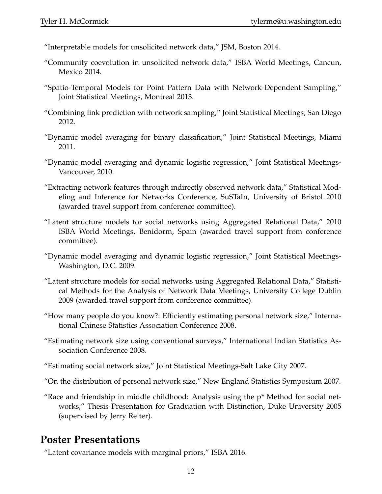- "Interpretable models for unsolicited network data," JSM, Boston 2014.
- "Community coevolution in unsolicited network data," ISBA World Meetings, Cancun, Mexico 2014.
- "Spatio-Temporal Models for Point Pattern Data with Network-Dependent Sampling," Joint Statistical Meetings, Montreal 2013.
- "Combining link prediction with network sampling," Joint Statistical Meetings, San Diego 2012.
- "Dynamic model averaging for binary classification," Joint Statistical Meetings, Miami 2011.
- "Dynamic model averaging and dynamic logistic regression," Joint Statistical Meetings-Vancouver, 2010.
- "Extracting network features through indirectly observed network data," Statistical Modeling and Inference for Networks Conference, SuSTaIn, University of Bristol 2010 (awarded travel support from conference committee).
- "Latent structure models for social networks using Aggregated Relational Data," 2010 ISBA World Meetings, Benidorm, Spain (awarded travel support from conference committee).
- "Dynamic model averaging and dynamic logistic regression," Joint Statistical Meetings-Washington, D.C. 2009.
- "Latent structure models for social networks using Aggregated Relational Data," Statistical Methods for the Analysis of Network Data Meetings, University College Dublin 2009 (awarded travel support from conference committee).
- "How many people do you know?: Efficiently estimating personal network size," International Chinese Statistics Association Conference 2008.
- "Estimating network size using conventional surveys," International Indian Statistics Association Conference 2008.
- "Estimating social network size," Joint Statistical Meetings-Salt Lake City 2007.
- "On the distribution of personal network size," New England Statistics Symposium 2007.
- "Race and friendship in middle childhood: Analysis using the  $p^*$  Method for social networks," Thesis Presentation for Graduation with Distinction, Duke University 2005 (supervised by Jerry Reiter).

#### **Poster Presentations**

"Latent covariance models with marginal priors," ISBA 2016.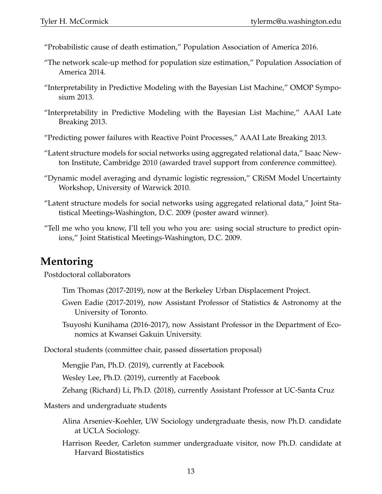- "Probabilistic cause of death estimation," Population Association of America 2016.
- "The network scale-up method for population size estimation," Population Association of America 2014.
- "Interpretability in Predictive Modeling with the Bayesian List Machine," OMOP Symposium 2013.
- "Interpretability in Predictive Modeling with the Bayesian List Machine," AAAI Late Breaking 2013.
- "Predicting power failures with Reactive Point Processes," AAAI Late Breaking 2013.
- "Latent structure models for social networks using aggregated relational data," Isaac Newton Institute, Cambridge 2010 (awarded travel support from conference committee).
- "Dynamic model averaging and dynamic logistic regression," CRiSM Model Uncertainty Workshop, University of Warwick 2010.
- "Latent structure models for social networks using aggregated relational data," Joint Statistical Meetings-Washington, D.C. 2009 (poster award winner).
- "Tell me who you know, I'll tell you who you are: using social structure to predict opinions," Joint Statistical Meetings-Washington, D.C. 2009.

#### **Mentoring**

Postdoctoral collaborators

Tim Thomas (2017-2019), now at the Berkeley Urban Displacement Project.

Gwen Eadie (2017-2019), now Assistant Professor of Statistics & Astronomy at the University of Toronto.

Tsuyoshi Kunihama (2016-2017), now Assistant Professor in the Department of Economics at Kwansei Gakuin University.

Doctoral students (committee chair, passed dissertation proposal)

Mengjie Pan, Ph.D. (2019), currently at Facebook

Wesley Lee, Ph.D. (2019), currently at Facebook

Zehang (Richard) Li, Ph.D. (2018), currently Assistant Professor at UC-Santa Cruz

Masters and undergraduate students

- Alina Arseniev-Koehler, UW Sociology undergraduate thesis, now Ph.D. candidate at UCLA Sociology.
- Harrison Reeder, Carleton summer undergraduate visitor, now Ph.D. candidate at Harvard Biostatistics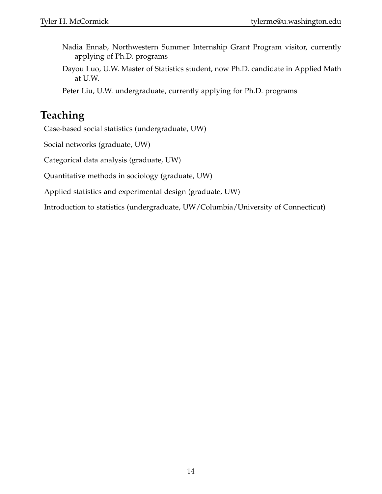- Nadia Ennab, Northwestern Summer Internship Grant Program visitor, currently applying of Ph.D. programs
- Dayou Luo, U.W. Master of Statistics student, now Ph.D. candidate in Applied Math at U.W.

Peter Liu, U.W. undergraduate, currently applying for Ph.D. programs

## **Teaching**

Case-based social statistics (undergraduate, UW)

Social networks (graduate, UW)

Categorical data analysis (graduate, UW)

Quantitative methods in sociology (graduate, UW)

Applied statistics and experimental design (graduate, UW)

Introduction to statistics (undergraduate, UW/Columbia/University of Connecticut)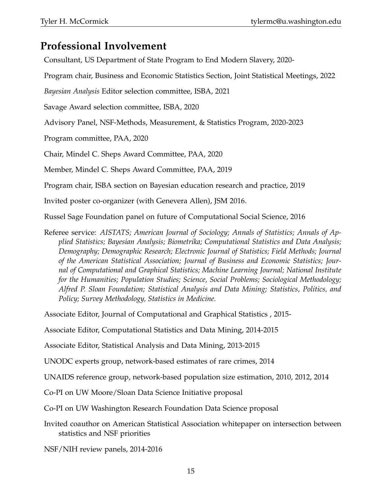## **Professional Involvement**

Consultant, US Department of State Program to End Modern Slavery, 2020-

Program chair, Business and Economic Statistics Section, Joint Statistical Meetings, 2022

*Bayesian Analysis* Editor selection committee, ISBA, 2021

Savage Award selection committee, ISBA, 2020

Advisory Panel, NSF-Methods, Measurement, & Statistics Program, 2020-2023

Program committee, PAA, 2020

Chair, Mindel C. Sheps Award Committee, PAA, 2020

Member, Mindel C. Sheps Award Committee, PAA, 2019

Program chair, ISBA section on Bayesian education research and practice, 2019

Invited poster co-organizer (with Genevera Allen), JSM 2016.

Russel Sage Foundation panel on future of Computational Social Science, 2016

Referee service: *AISTATS; American Journal of Sociology; Annals of Statistics; Annals of Applied Statistics; Bayesian Analysis; Biometrika; Computational Statistics and Data Analysis; Demography; Demographic Research; Electronic Journal of Statistics; Field Methods; Journal of the American Statistical Association; Journal of Business and Economic Statistics; Journal of Computational and Graphical Statistics; Machine Learning Journal; National Institute for the Humanities; Population Studies; Science, Social Problems; Sociological Methodology; Alfred P. Sloan Foundation; Statistical Analysis and Data Mining; Statistics, Politics, and Policy; Survey Methodology, Statistics in Medicine.*

Associate Editor, Journal of Computational and Graphical Statistics , 2015-

Associate Editor, Computational Statistics and Data Mining, 2014-2015

Associate Editor, Statistical Analysis and Data Mining, 2013-2015

UNODC experts group, network-based estimates of rare crimes, 2014

UNAIDS reference group, network-based population size estimation, 2010, 2012, 2014

Co-PI on UW Moore/Sloan Data Science Initiative proposal

Co-PI on UW Washington Research Foundation Data Science proposal

Invited coauthor on American Statistical Association whitepaper on intersection between statistics and NSF priorities

NSF/NIH review panels, 2014-2016